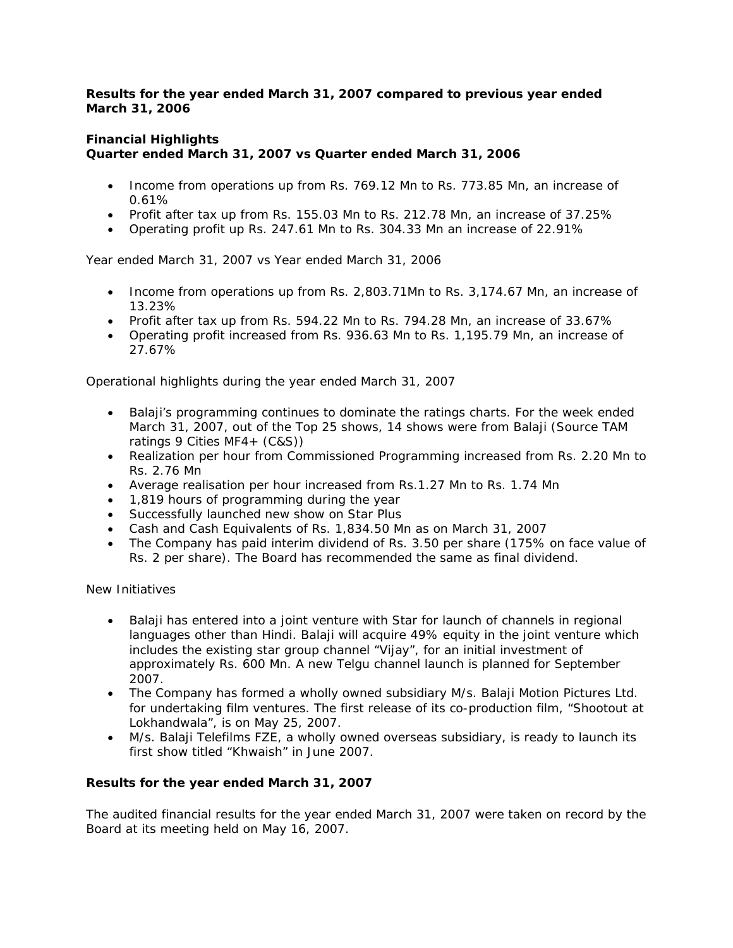## *Results for the year ended March 31, 2007 compared to previous year ended March 31, 2006*

## **Financial Highlights Quarter ended March 31, 2007 vs Quarter ended March 31, 2006**

- Income from operations up from Rs. 769.12 Mn to Rs. 773.85 Mn, an increase of 0.61%
- Profit after tax up from Rs. 155.03 Mn to Rs. 212.78 Mn, an increase of 37.25%
- Operating profit up Rs. 247.61 Mn to Rs. 304.33 Mn an increase of 22.91%

Year ended March 31, 2007 vs Year ended March 31, 2006

- Income from operations up from Rs. 2,803.71Mn to Rs. 3,174.67 Mn, an increase of 13.23%
- Profit after tax up from Rs. 594.22 Mn to Rs. 794.28 Mn, an increase of 33.67%
- Operating profit increased from Rs. 936.63 Mn to Rs. 1,195.79 Mn, an increase of 27.67%

Operational highlights during the year ended March 31, 2007

- Balaji's programming continues to dominate the ratings charts. For the week ended March 31, 2007, out of the Top 25 shows, 14 shows were from Balaji (Source TAM ratings 9 Cities MF4+ (C&S))
- Realization per hour from Commissioned Programming increased from Rs. 2.20 Mn to Rs. 2.76 Mn
- Average realisation per hour increased from Rs.1.27 Mn to Rs. 1.74 Mn
- 1,819 hours of programming during the year
- Successfully launched new show on Star Plus
- Cash and Cash Equivalents of Rs. 1,834.50 Mn as on March 31, 2007
- The Company has paid interim dividend of Rs. 3.50 per share (175% on face value of Rs. 2 per share). The Board has recommended the same as final dividend.

New Initiatives

- Balaji has entered into a joint venture with Star for launch of channels in regional languages other than Hindi. Balaji will acquire 49% equity in the joint venture which includes the existing star group channel "Vijay", for an initial investment of approximately Rs. 600 Mn. A new Telgu channel launch is planned for September 2007.
- The Company has formed a wholly owned subsidiary M/s. Balaji Motion Pictures Ltd. for undertaking film ventures. The first release of its co-production film, "Shootout at Lokhandwala", is on May 25, 2007.
- M/s. Balaji Telefilms FZE, a wholly owned overseas subsidiary, is ready to launch its first show titled "Khwaish" in June 2007.

## **Results for the year ended March 31, 2007**

The audited financial results for the year ended March 31, 2007 were taken on record by the Board at its meeting held on May 16, 2007.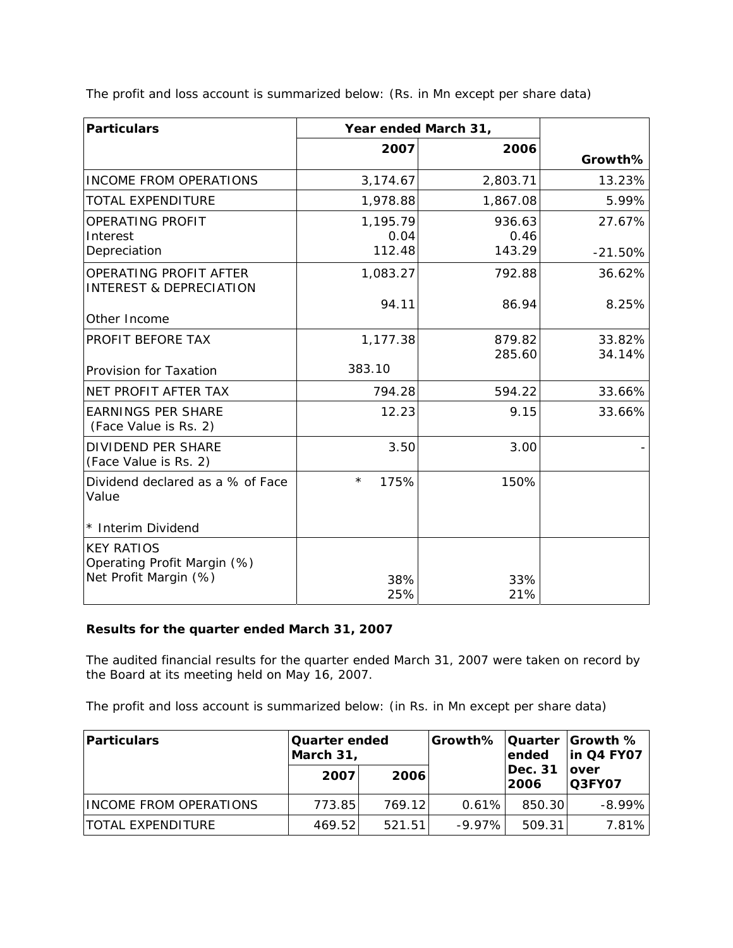The profit and loss account is summarized below: (Rs. in Mn except per share data)

| <b>Particulars</b>                                                        | Year ended March 31,       |                          |                     |
|---------------------------------------------------------------------------|----------------------------|--------------------------|---------------------|
|                                                                           | 2007                       | 2006                     | Growth%             |
| INCOME FROM OPERATIONS                                                    | 3,174.67                   | 2,803.71                 | 13.23%              |
| <b>TOTAL EXPENDITURE</b>                                                  | 1,978.88                   | 1,867.08                 | 5.99%               |
| OPERATING PROFIT<br>Interest<br>Depreciation                              | 1,195.79<br>0.04<br>112.48 | 936.63<br>0.46<br>143.29 | 27.67%              |
| <b>OPERATING PROFIT AFTER</b><br><b>INTEREST &amp; DEPRECIATION</b>       | 1,083.27                   | 792.88                   | $-21.50%$<br>36.62% |
| Other Income                                                              | 94.11                      | 86.94                    | 8.25%               |
| PROFIT BEFORE TAX                                                         | 1,177.38                   | 879.82<br>285.60         | 33.82%<br>34.14%    |
| Provision for Taxation                                                    | 383.10                     |                          |                     |
| NET PROFIT AFTER TAX                                                      | 794.28                     | 594.22                   | 33.66%              |
| <b>EARNINGS PER SHARE</b><br>(Face Value is Rs. 2)                        | 12.23                      | 9.15                     | 33.66%              |
| <b>DIVIDEND PER SHARE</b><br>(Face Value is Rs. 2)                        | 3.50                       | 3.00                     |                     |
| Dividend declared as a % of Face<br>Value                                 | $^{\star}$<br>175%         | 150%                     |                     |
| * Interim Dividend                                                        |                            |                          |                     |
| <b>KEY RATIOS</b><br>Operating Profit Margin (%)<br>Net Profit Margin (%) | 38%<br>25%                 | 33%<br>21%               |                     |

# **Results for the quarter ended March 31, 2007**

The audited financial results for the quarter ended March 31, 2007 were taken on record by the Board at its meeting held on May 16, 2007.

The profit and loss account is summarized below: (in Rs. in Mn except per share data)

| Particulars                   | Quarter ended<br>March 31, |        | <b>Growth%   Quarter   Growth %</b> | lended           | in Q4 FY07             |
|-------------------------------|----------------------------|--------|-------------------------------------|------------------|------------------------|
|                               | 2007                       | 2006   |                                     | Dec. 31<br> 2006 | lover<br><b>Q3FY07</b> |
| <b>INCOME FROM OPERATIONS</b> | 773.85                     | 769.12 | 0.61%                               | 850.30           | $-8.99\%$              |
| <b>ITOTAL EXPENDITURE</b>     | 469.52                     | 521.51 | $-9.97\%$                           | 509.31           | 7.81%                  |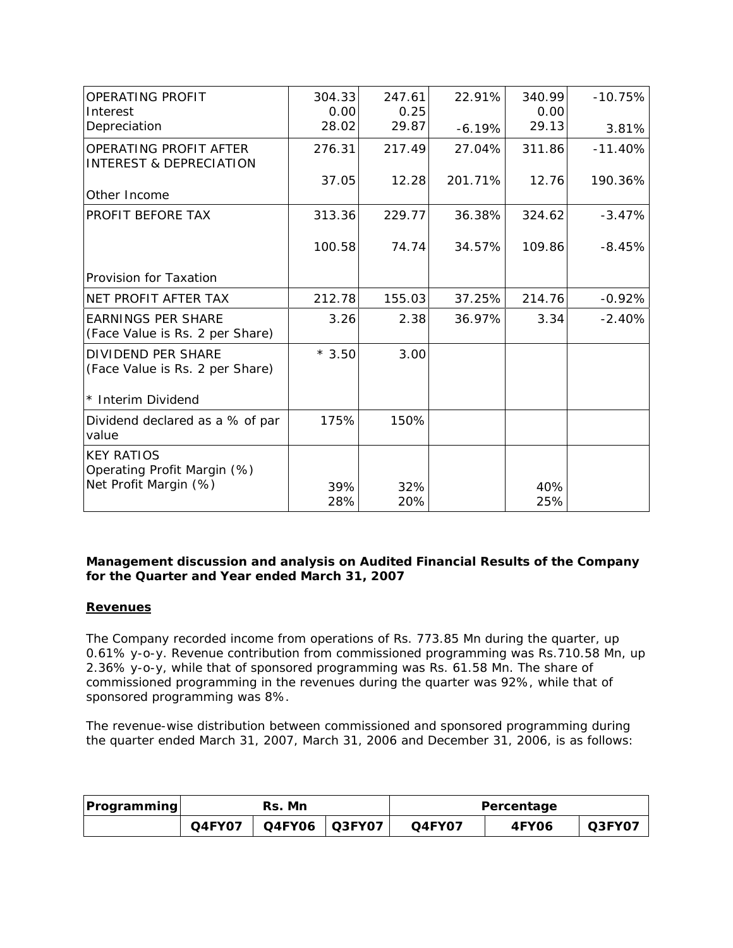| OPERATING PROFIT<br>Interest                                              | 304.33<br>0.00 | 247.61<br>0.25 | 22.91%   | 340.99<br>0.00 | $-10.75%$ |
|---------------------------------------------------------------------------|----------------|----------------|----------|----------------|-----------|
| Depreciation                                                              | 28.02          | 29.87          | $-6.19%$ | 29.13          | 3.81%     |
| OPERATING PROFIT AFTER<br><b>INTEREST &amp; DEPRECIATION</b>              | 276.31         | 217.49         | 27.04%   | 311.86         | $-11.40%$ |
| Other Income                                                              | 37.05          | 12.28          | 201.71%  | 12.76          | 190.36%   |
| PROFIT BEFORE TAX                                                         | 313.36         | 229.77         | 36.38%   | 324.62         | $-3.47%$  |
|                                                                           | 100.58         | 74.74          | 34.57%   | 109.86         | $-8.45%$  |
| Provision for Taxation                                                    |                |                |          |                |           |
| NET PROFIT AFTER TAX                                                      | 212.78         | 155.03         | 37.25%   | 214.76         | $-0.92%$  |
| <b>EARNINGS PER SHARE</b><br>(Face Value is Rs. 2 per Share)              | 3.26           | 2.38           | 36.97%   | 3.34           | $-2.40%$  |
| <b>DIVIDEND PER SHARE</b><br>(Face Value is Rs. 2 per Share)              | $*3.50$        | 3.00           |          |                |           |
| * Interim Dividend                                                        |                |                |          |                |           |
| Dividend declared as a % of par<br>value                                  | 175%           | 150%           |          |                |           |
| <b>KEY RATIOS</b><br>Operating Profit Margin (%)<br>Net Profit Margin (%) | 39%<br>28%     | 32%<br>20%     |          | 40%<br>25%     |           |

# *Management discussion and analysis on Audited Financial Results of the Company for the Quarter and Year ended March 31, 2007*

## **Revenues**

The Company recorded income from operations of Rs. 773.85 Mn during the quarter, up 0.61% y-o-y. Revenue contribution from commissioned programming was Rs.710.58 Mn, up 2.36% y-o-y, while that of sponsored programming was Rs. 61.58 Mn. The share of commissioned programming in the revenues during the quarter was 92%, while that of sponsored programming was 8%.

The revenue-wise distribution between commissioned and sponsored programming during the quarter ended March 31, 2007, March 31, 2006 and December 31, 2006, is as follows:

| <b>Programming</b> | Rs. Mn |  |  | Percentage |              |        |
|--------------------|--------|--|--|------------|--------------|--------|
|                    | Q4FY07 |  |  | Q4FY07     | <b>4FY06</b> | Q3FY07 |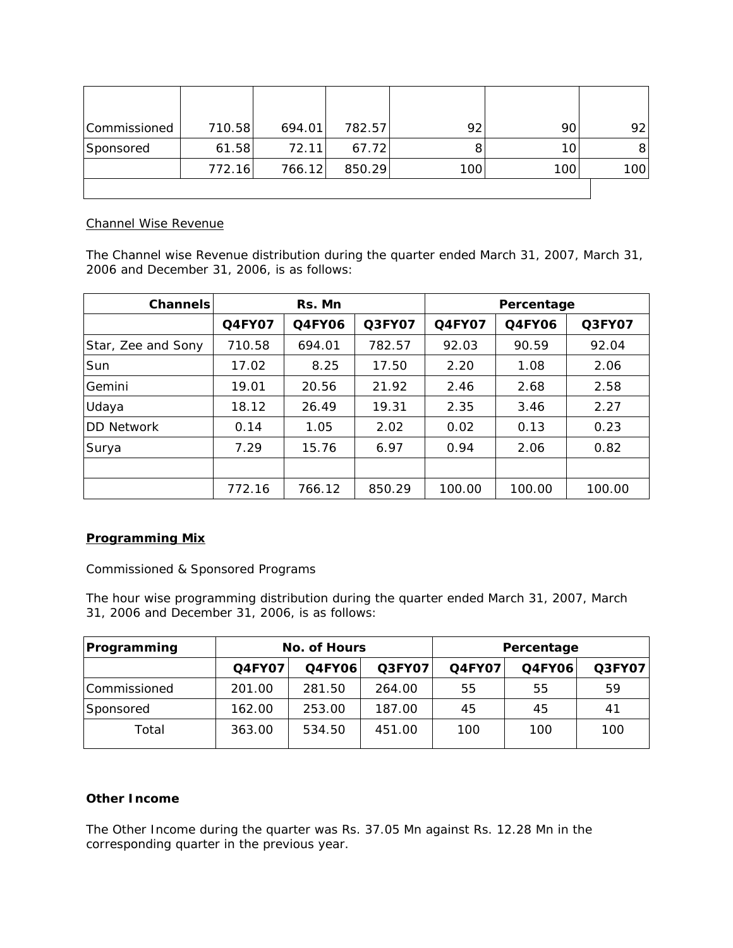| Commissioned | 710.58 | 694.01 | 782.57 | 92  | 90  | 921 |
|--------------|--------|--------|--------|-----|-----|-----|
| Sponsored    | 61.58  | 72.11  | 67.72  |     | 10  |     |
|              | 772.16 | 766.12 | 850.29 | 100 | 100 | 100 |
|              |        |        |        |     |     |     |

## Channel Wise Revenue

The Channel wise Revenue distribution during the quarter ended March 31, 2007, March 31, 2006 and December 31, 2006, is as follows:

| Channels           | Rs. Mn        |               |               | Percentage    |               |        |
|--------------------|---------------|---------------|---------------|---------------|---------------|--------|
|                    | <b>Q4FY07</b> | <b>Q4FY06</b> | <b>Q3FY07</b> | <b>Q4FY07</b> | <b>Q4FY06</b> | Q3FY07 |
| Star, Zee and Sony | 710.58        | 694.01        | 782.57        | 92.03         | 90.59         | 92.04  |
| Sun                | 17.02         | 8.25          | 17.50         | 2.20          | 1.08          | 2.06   |
| Gemini             | 19.01         | 20.56         | 21.92         | 2.46          | 2.68          | 2.58   |
| Udaya              | 18.12         | 26.49         | 19.31         | 2.35          | 3.46          | 2.27   |
| <b>DD Network</b>  | 0.14          | 1.05          | 2.02          | 0.02          | 0.13          | 0.23   |
| Surya              | 7.29          | 15.76         | 6.97          | 0.94          | 2.06          | 0.82   |
|                    |               |               |               |               |               |        |
|                    | 772.16        | 766.12        | 850.29        | 100.00        | 100.00        | 100.00 |

# *Programming Mix*

Commissioned & Sponsored Programs

The hour wise programming distribution during the quarter ended March 31, 2007, March 31, 2006 and December 31, 2006, is as follows:

| Programming  | No. of Hours  |                         |        | Percentage    |               |        |
|--------------|---------------|-------------------------|--------|---------------|---------------|--------|
|              | <b>Q4FY07</b> | Q3FY07<br><b>Q4FY06</b> |        | <b>Q4FY07</b> | <b>Q4FY06</b> | Q3FY07 |
| Commissioned | 201.00        | 281.50                  | 264.00 | 55            | 55            | 59     |
| Sponsored    | 162.00        | 253.00                  | 187.00 | 45            | 45            | 41     |
| Total        | 363.00        | 534.50                  | 451.00 | 100           | 100           | 100    |

# **Other Income**

The Other Income during the quarter was Rs. 37.05 Mn against Rs. 12.28 Mn in the corresponding quarter in the previous year.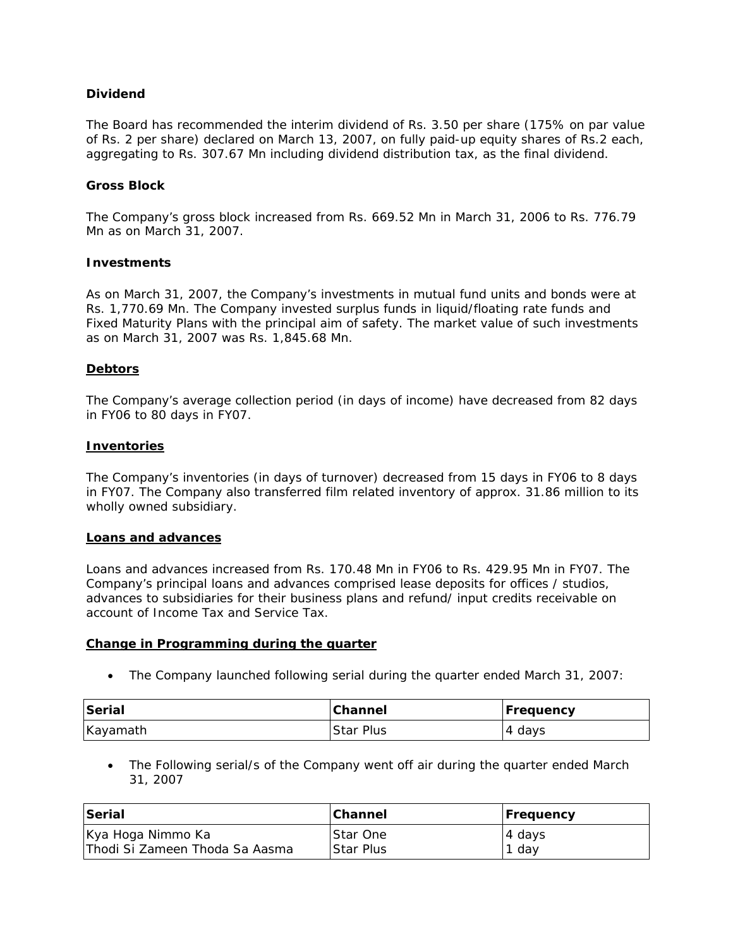## **Dividend**

The Board has recommended the interim dividend of Rs. 3.50 per share (175% on par value of Rs. 2 per share) declared on March 13, 2007, on fully paid-up equity shares of Rs.2 each, aggregating to Rs. 307.67 Mn including dividend distribution tax, as the final dividend.

#### **Gross Block**

The Company's gross block increased from Rs. 669.52 Mn in March 31, 2006 to Rs. 776.79 Mn as on March 31, 2007.

#### **Investments**

As on March 31, 2007, the Company's investments in mutual fund units and bonds were at Rs. 1,770.69 Mn. The Company invested surplus funds in liquid/floating rate funds and Fixed Maturity Plans with the principal aim of safety. The market value of such investments as on March 31, 2007 was Rs. 1,845.68 Mn.

### **Debtors**

The Company's average collection period (in days of income) have decreased from 82 days in FY06 to 80 days in FY07.

#### **Inventories**

The Company's inventories (in days of turnover) decreased from 15 days in FY06 to 8 days in FY07. The Company also transferred film related inventory of approx. 31.86 million to its wholly owned subsidiary.

#### **Loans and advances**

Loans and advances increased from Rs. 170.48 Mn in FY06 to Rs. 429.95 Mn in FY07. The Company's principal loans and advances comprised lease deposits for offices / studios, advances to subsidiaries for their business plans and refund/ input credits receivable on account of Income Tax and Service Tax.

#### **Change in Programming during the quarter**

• The Company launched following serial during the quarter ended March 31, 2007:

| Serial   | Channel          | <b>Frequency</b> |
|----------|------------------|------------------|
| Kayamath | <b>Star Plus</b> | 4 days           |

• The Following serial/s of the Company went off air during the quarter ended March 31, 2007

| Serial                          | <b>Channel</b>  | <b>Frequency</b> |
|---------------------------------|-----------------|------------------|
| Kya Hoga Nimmo Ka               | <b>Star One</b> | 4 days           |
| IThodi Si Zameen Thoda Sa Aasma | Star Plus       | dav              |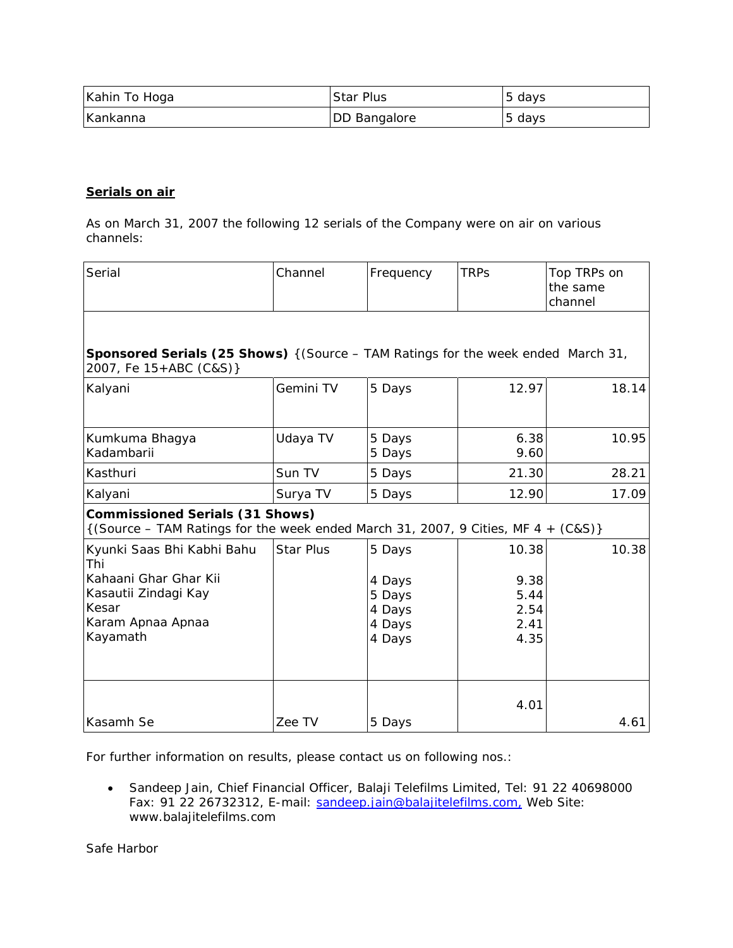| Kahin To Hoga | <b>Star Plus</b>    | 5 days |
|---------------|---------------------|--------|
| Kankanna      | <b>DD Bangalore</b> | 5 days |

## **Serials on air**

*As on March 31, 2007 the following 12 serials of the Company were on air on various channels:*

| Serial                                                                                                                            | Channel          | Frequency                                                | <b>TRPs</b>                                   | Top TRPs on<br>the same<br>channel |
|-----------------------------------------------------------------------------------------------------------------------------------|------------------|----------------------------------------------------------|-----------------------------------------------|------------------------------------|
| <b>Sponsored Serials (25 Shows)</b> { (Source - TAM Ratings for the week ended March 31,<br>2007, Fe 15+ABC (C&S)}                |                  |                                                          |                                               |                                    |
| Kalyani                                                                                                                           | Gemini TV        | 5 Days                                                   | 12.97                                         | 18.14                              |
| Kumkuma Bhagya<br>Kadambarii                                                                                                      | Udaya TV         | 5 Days<br>5 Days                                         | 6.38<br>9.60                                  | 10.95                              |
| Kasthuri                                                                                                                          | Sun TV           | 5 Days                                                   | 21.30                                         | 28.21                              |
| Kalyani                                                                                                                           | Surya TV         | 5 Days                                                   | 12.90                                         | 17.09                              |
| <b>Commissioned Serials (31 Shows)</b><br>$\{(Source - TAM Ratings for the week ended March 31, 2007, 9 Cities, MF 4 + (C&S)\}\)$ |                  |                                                          |                                               |                                    |
| Kyunki Saas Bhi Kabhi Bahu<br>Thi<br>Kahaani Ghar Ghar Kii<br>Kasautii Zindagi Kay<br>Kesar<br>Karam Apnaa Apnaa<br>Kayamath      | <b>Star Plus</b> | 5 Days<br>4 Days<br>5 Days<br>4 Days<br>4 Days<br>4 Days | 10.38<br>9.38<br>5.44<br>2.54<br>2.41<br>4.35 | 10.38                              |
| Kasamh Se                                                                                                                         | Zee TV           | 5 Days                                                   | 4.01                                          | 4.61                               |

For further information on results, please contact us on following nos.:

• Sandeep Jain, Chief Financial Officer, Balaji Telefilms Limited, Tel: 91 22 40698000 Fax: 91 22 26732312, E-mail: [sandeep.jain@balajitelefilms.com,](mailto:sandeep.jain@balajitelefilms.com) Web Site: www.balajitelefilms.com

Safe Harbor